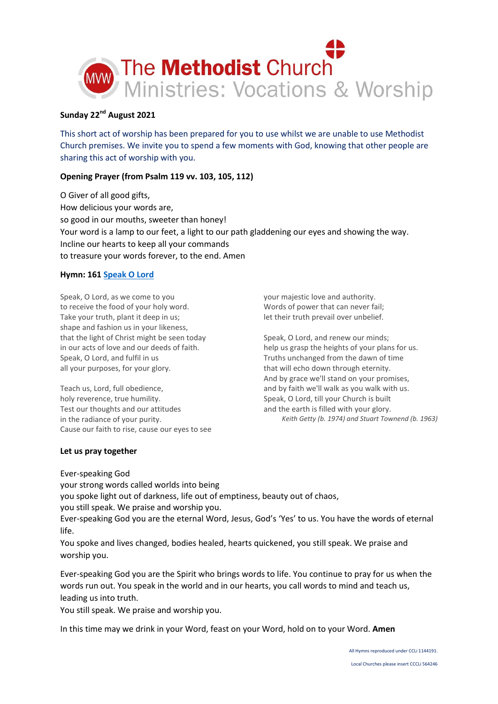

# **Sunday 22nd August 2021**

This short act of worship has been prepared for you to use whilst we are unable to use Methodist Church premises. We invite you to spend a few moments with God, knowing that other people are sharing this act of worship with you.

# **Opening Prayer (from Psalm 119 vv. 103, 105, 112)**

O Giver of all good gifts, How delicious your words are, so good in our mouths, sweeter than honey! Your word is a lamp to our feet, a light to our path gladdening our eyes and showing the way. Incline our hearts to keep all your commands to treasure your words forever, to the end. Amen

# **Hymn: 16[1 Speak O Lord](https://youtu.be/0zAIHIjyPgU)**

Speak, O Lord, as we come to you to receive the food of your holy word. Take your truth, plant it deep in us; shape and fashion us in your likeness, that the light of Christ might be seen today in our acts of love and our deeds of faith. Speak, O Lord, and fulfil in us all your purposes, for your glory.

Teach us, Lord, full obedience, holy reverence, true humility. Test our thoughts and our attitudes in the radiance of your purity. Cause our faith to rise, cause our eyes to see

your majestic love and authority. Words of power that can never fail; let their truth prevail over unbelief.

Speak, O Lord, and renew our minds; help us grasp the heights of your plans for us. Truths unchanged from the dawn of time that will echo down through eternity. And by grace we'll stand on your promises, and by faith we'll walk as you walk with us. Speak, O Lord, till your Church is built and the earth is filled with your glory. *Keith Getty (b. 1974) and Stuart Townend (b. 1963)*

# **Let us pray together**

worship you.

Ever-speaking God your strong words called worlds into being you spoke light out of darkness, life out of emptiness, beauty out of chaos, you still speak. We praise and worship you. Ever-speaking God you are the eternal Word, Jesus, God's 'Yes' to us. You have the words of eternal life. You spoke and lives changed, bodies healed, hearts quickened, you still speak. We praise and

Ever-speaking God you are the Spirit who brings words to life. You continue to pray for us when the words run out. You speak in the world and in our hearts, you call words to mind and teach us, leading us into truth.

You still speak. We praise and worship you.

In this time may we drink in your Word, feast on your Word, hold on to your Word. **Amen**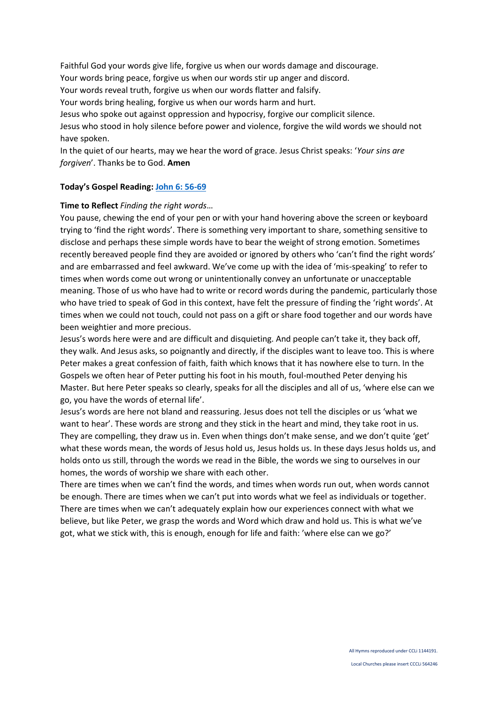Faithful God your words give life, forgive us when our words damage and discourage. Your words bring peace, forgive us when our words stir up anger and discord. Your words reveal truth, forgive us when our words flatter and falsify. Your words bring healing, forgive us when our words harm and hurt. Jesus who spoke out against oppression and hypocrisy, forgive our complicit silence. Jesus who stood in holy silence before power and violence, forgive the wild words we should not have spoken.

In the quiet of our hearts, may we hear the word of grace. Jesus Christ speaks: '*Your sins are forgiven*'. Thanks be to God. **Amen**

#### **Today's Gospel Reading: [John 6:](https://www.biblegateway.com/passage/?search=John+6%3A+56-69&version=NIV) 56-69**

#### **Time to Reflect** *Finding the right words*…

You pause, chewing the end of your pen or with your hand hovering above the screen or keyboard trying to 'find the right words'. There is something very important to share, something sensitive to disclose and perhaps these simple words have to bear the weight of strong emotion. Sometimes recently bereaved people find they are avoided or ignored by others who 'can't find the right words' and are embarrassed and feel awkward. We've come up with the idea of 'mis-speaking' to refer to times when words come out wrong or unintentionally convey an unfortunate or unacceptable meaning. Those of us who have had to write or record words during the pandemic, particularly those who have tried to speak of God in this context, have felt the pressure of finding the 'right words'. At times when we could not touch, could not pass on a gift or share food together and our words have been weightier and more precious.

Jesus's words here were and are difficult and disquieting. And people can't take it, they back off, they walk. And Jesus asks, so poignantly and directly, if the disciples want to leave too. This is where Peter makes a great confession of faith, faith which knows that it has nowhere else to turn. In the Gospels we often hear of Peter putting his foot in his mouth, foul-mouthed Peter denying his Master. But here Peter speaks so clearly, speaks for all the disciples and all of us, 'where else can we go, you have the words of eternal life'.

Jesus's words are here not bland and reassuring. Jesus does not tell the disciples or us 'what we want to hear'. These words are strong and they stick in the heart and mind, they take root in us. They are compelling, they draw us in. Even when things don't make sense, and we don't quite 'get' what these words mean, the words of Jesus hold us, Jesus holds us. In these days Jesus holds us, and holds onto us still, through the words we read in the Bible, the words we sing to ourselves in our homes, the words of worship we share with each other.

There are times when we can't find the words, and times when words run out, when words cannot be enough. There are times when we can't put into words what we feel as individuals or together. There are times when we can't adequately explain how our experiences connect with what we believe, but like Peter, we grasp the words and Word which draw and hold us. This is what we've got, what we stick with, this is enough, enough for life and faith: 'where else can we go?'

All Hymns reproduced under CCLi 1144191.